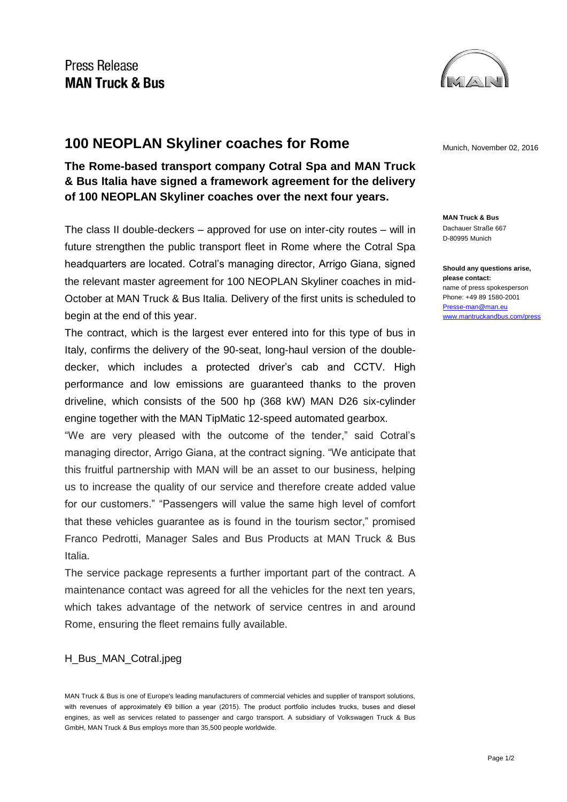

## **100 NEOPLAN Skyliner coaches for Rome** Munich, November 02, 2016

**The Rome-based transport company Cotral Spa and MAN Truck & Bus Italia have signed a framework agreement for the delivery of 100 NEOPLAN Skyliner coaches over the next four years.**

The class II double-deckers – approved for use on inter-city routes – will in future strengthen the public transport fleet in Rome where the Cotral Spa headquarters are located. Cotral's managing director, Arrigo Giana, signed the relevant master agreement for 100 NEOPLAN Skyliner coaches in mid-October at MAN Truck & Bus Italia. Delivery of the first units is scheduled to begin at the end of this year.

The contract, which is the largest ever entered into for this type of bus in Italy, confirms the delivery of the 90-seat, long-haul version of the doubledecker, which includes a protected driver's cab and CCTV. High performance and low emissions are guaranteed thanks to the proven driveline, which consists of the 500 hp (368 kW) MAN D26 six-cylinder engine together with the MAN TipMatic 12-speed automated gearbox.

"We are very pleased with the outcome of the tender," said Cotral's managing director, Arrigo Giana, at the contract signing. "We anticipate that this fruitful partnership with MAN will be an asset to our business, helping us to increase the quality of our service and therefore create added value for our customers." "Passengers will value the same high level of comfort that these vehicles guarantee as is found in the tourism sector," promised Franco Pedrotti, Manager Sales and Bus Products at MAN Truck & Bus Italia.

The service package represents a further important part of the contract. A maintenance contact was agreed for all the vehicles for the next ten years, which takes advantage of the network of service centres in and around Rome, ensuring the fleet remains fully available.

## H\_Bus\_MAN\_Cotral.jpeg

**MAN Truck & Bus** Dachauer Straße 667 D-80995 Munich

**Should any questions arise, please contact:** name of press spokesperson Phone: +49 89 1580-2001 [Presse-man@man.eu](mailto:Presse-man@man.eu) [www.mantruckandbus.com/press](http://www.mantruckandbus.com/press)

MAN Truck & Bus is one of Europe's leading manufacturers of commercial vehicles and supplier of transport solutions, with revenues of approximately €9 billion a year (2015). The product portfolio includes trucks, buses and diesel engines, as well as services related to passenger and cargo transport. A subsidiary of Volkswagen Truck & Bus GmbH, MAN Truck & Bus employs more than 35,500 people worldwide.